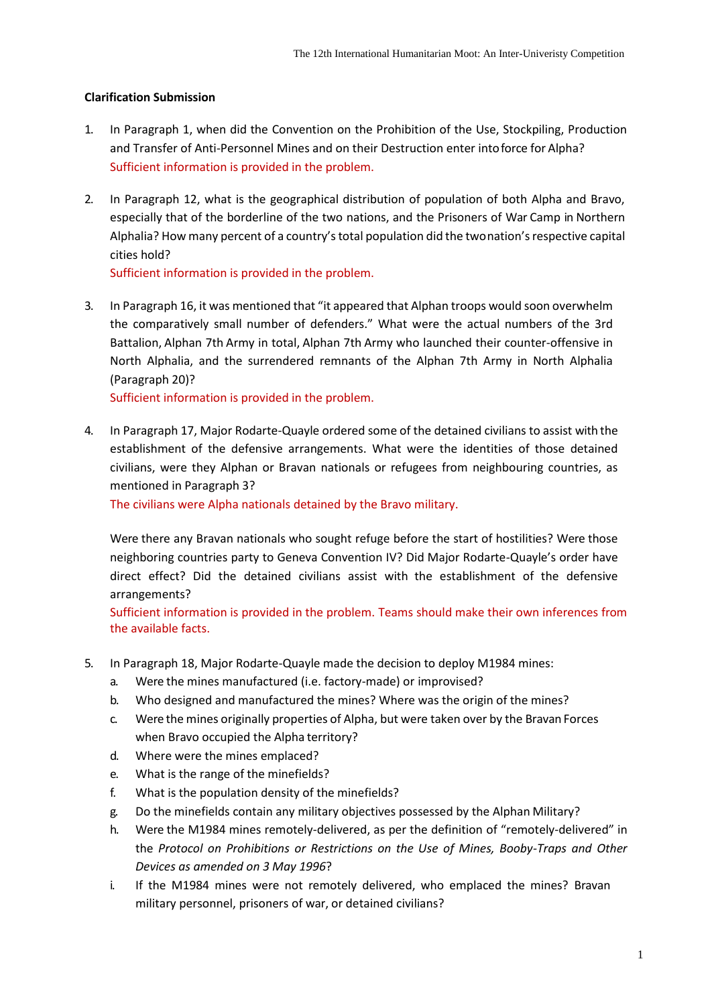## **Clarification Submission**

- 1. In Paragraph 1, when did the Convention on the Prohibition of the Use, Stockpiling, Production and Transfer of Anti-Personnel Mines and on their Destruction enter intoforce for Alpha? Sufficient information is provided in the problem.
- 2. In Paragraph 12, what is the geographical distribution of population of both Alpha and Bravo, especially that of the borderline of the two nations, and the Prisoners of War Camp in Northern Alphalia? How many percent of a country's total population did the twonation's respective capital cities hold?

Sufficient information is provided in the problem.

3. In Paragraph 16, it was mentioned that "it appeared that Alphan troops would soon overwhelm the comparatively small number of defenders." What were the actual numbers of the 3rd Battalion, Alphan 7th Army in total, Alphan 7th Army who launched their counter-offensive in North Alphalia, and the surrendered remnants of the Alphan 7th Army in North Alphalia (Paragraph 20)?

Sufficient information is provided in the problem.

4. In Paragraph 17, Major Rodarte-Quayle ordered some of the detained civilians to assist with the establishment of the defensive arrangements. What were the identities of those detained civilians, were they Alphan or Bravan nationals or refugees from neighbouring countries, as mentioned in Paragraph 3?

The civilians were Alpha nationals detained by the Bravo military.

Were there any Bravan nationals who sought refuge before the start of hostilities? Were those neighboring countries party to Geneva Convention IV? Did Major Rodarte-Quayle's order have direct effect? Did the detained civilians assist with the establishment of the defensive arrangements?

Sufficient information is provided in the problem. Teams should make their own inferences from the available facts.

- 5. In Paragraph 18, Major Rodarte-Quayle made the decision to deploy M1984 mines:
	- a. Were the mines manufactured (i.e. factory-made) or improvised?
	- b. Who designed and manufactured the mines? Where was the origin of the mines?
	- c. Were the mines originally properties of Alpha, but were taken over by the Bravan Forces when Bravo occupied the Alpha territory?
	- d. Where were the mines emplaced?
	- e. What is the range of the minefields?
	- f. What is the population density of the minefields?
	- g. Do the minefields contain any military objectives possessed by the Alphan Military?
	- h. Were the M1984 mines remotely-delivered, as per the definition of "remotely-delivered" in the *Protocol on Prohibitions or Restrictions on the Use of Mines, Booby-Traps and Other Devices as amended on 3 May 1996*?
	- i. If the M1984 mines were not remotely delivered, who emplaced the mines? Bravan military personnel, prisoners of war, or detained civilians?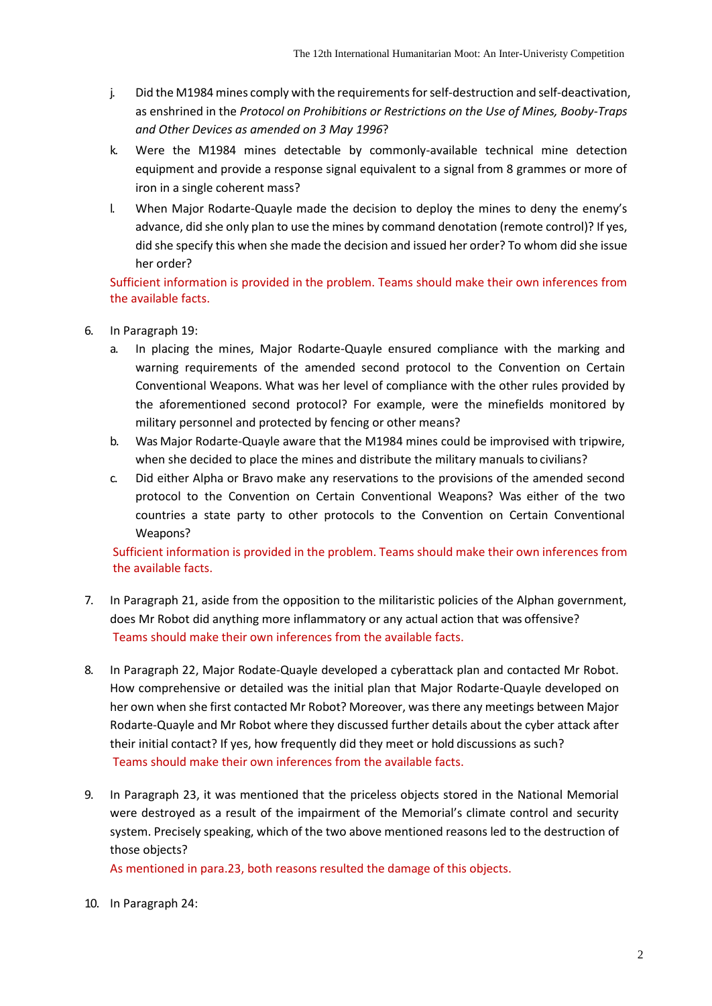- j. Did the M1984 mines comply with the requirements for self-destruction and self-deactivation, as enshrined in the *Protocol on Prohibitions or Restrictions on the Use of Mines, Booby-Traps and Other Devices as amended on 3 May 1996*?
- k. Were the M1984 mines detectable by commonly-available technical mine detection equipment and provide a response signal equivalent to a signal from 8 grammes or more of iron in a single coherent mass?
- l. When Major Rodarte-Quayle made the decision to deploy the mines to deny the enemy's advance, did she only plan to use the mines by command denotation (remote control)? If yes, did she specify this when she made the decision and issued her order? To whom did she issue her order?

Sufficient information is provided in the problem. Teams should make their own inferences from the available facts.

- 6. In Paragraph 19:
	- a. In placing the mines, Major Rodarte-Quayle ensured compliance with the marking and warning requirements of the amended second protocol to the Convention on Certain Conventional Weapons. What was her level of compliance with the other rules provided by the aforementioned second protocol? For example, were the minefields monitored by military personnel and protected by fencing or other means?
	- b. Was Major Rodarte-Quayle aware that the M1984 mines could be improvised with tripwire, when she decided to place the mines and distribute the military manuals to civilians?
	- c. Did either Alpha or Bravo make any reservations to the provisions of the amended second protocol to the Convention on Certain Conventional Weapons? Was either of the two countries a state party to other protocols to the Convention on Certain Conventional Weapons?

Sufficient information is provided in the problem. Teams should make their own inferences from the available facts.

- 7. In Paragraph 21, aside from the opposition to the militaristic policies of the Alphan government, does Mr Robot did anything more inflammatory or any actual action that was offensive? Teams should make their own inferences from the available facts.
- 8. In Paragraph 22, Major Rodate-Quayle developed a cyberattack plan and contacted Mr Robot. How comprehensive or detailed was the initial plan that Major Rodarte-Quayle developed on her own when she first contacted Mr Robot? Moreover, was there any meetings between Major Rodarte-Quayle and Mr Robot where they discussed further details about the cyber attack after their initial contact? If yes, how frequently did they meet or hold discussions as such? Teams should make their own inferences from the available facts.
- 9. In Paragraph 23, it was mentioned that the priceless objects stored in the National Memorial were destroyed as a result of the impairment of the Memorial's climate control and security system. Precisely speaking, which of the two above mentioned reasons led to the destruction of those objects?

As mentioned in para.23, both reasons resulted the damage of this objects.

10. In Paragraph 24: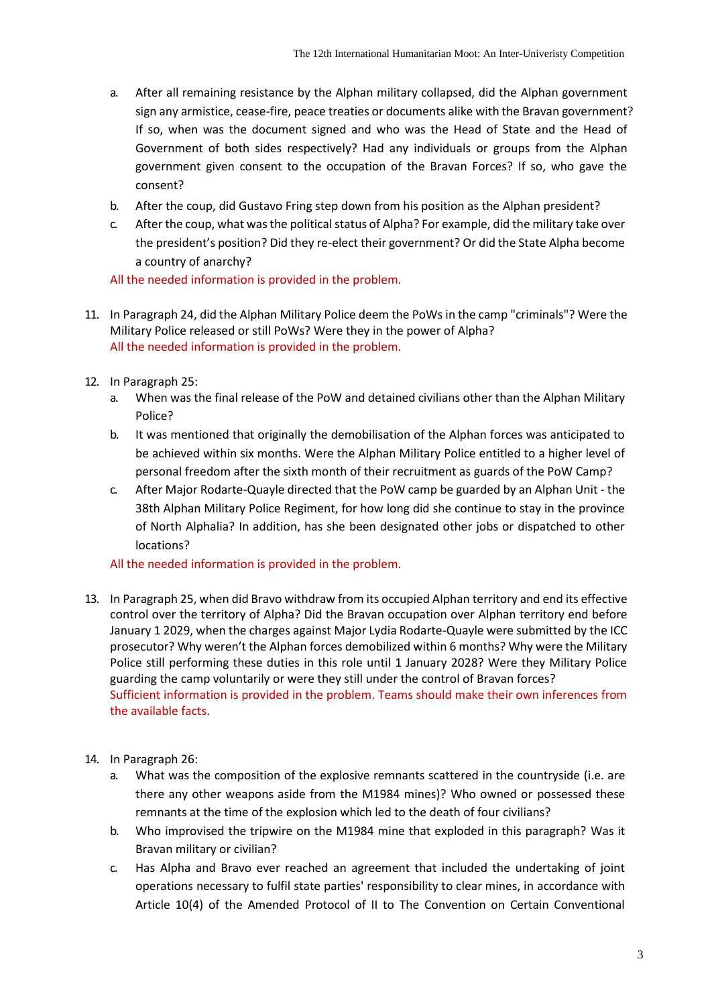- a. After all remaining resistance by the Alphan military collapsed, did the Alphan government sign any armistice, cease-fire, peace treaties or documents alike with the Bravan government? If so, when was the document signed and who was the Head of State and the Head of Government of both sides respectively? Had any individuals or groups from the Alphan government given consent to the occupation of the Bravan Forces? If so, who gave the consent?
- b. After the coup, did Gustavo Fring step down from his position as the Alphan president?
- c. After the coup, what was the political status of Alpha? For example, did the military take over the president's position? Did they re-elect their government? Or did the State Alpha become a country of anarchy?

All the needed information is provided in the problem.

- 11. In Paragraph 24, did the Alphan Military Police deem the PoWs in the camp "criminals"? Were the Military Police released or still PoWs? Were they in the power of Alpha? All the needed information is provided in the problem.
- 12. In Paragraph 25:
	- a. When was the final release of the PoW and detained civilians other than the Alphan Military Police?
	- b. It was mentioned that originally the demobilisation of the Alphan forces was anticipated to be achieved within six months. Were the Alphan Military Police entitled to a higher level of personal freedom after the sixth month of their recruitment as guards of the PoW Camp?
	- c. After Major Rodarte-Quayle directed that the PoW camp be guarded by an Alphan Unit the 38th Alphan Military Police Regiment, for how long did she continue to stay in the province of North Alphalia? In addition, has she been designated other jobs or dispatched to other locations?

## All the needed information is provided in the problem.

- 13. In Paragraph 25, when did Bravo withdraw from its occupied Alphan territory and end its effective control over the territory of Alpha? Did the Bravan occupation over Alphan territory end before January 1 2029, when the charges against Major Lydia Rodarte-Quayle were submitted by the ICC prosecutor? Why weren't the Alphan forces demobilized within 6 months? Why were the Military Police still performing these duties in this role until 1 January 2028? Were they Military Police guarding the camp voluntarily or were they still under the control of Bravan forces? Sufficient information is provided in the problem. Teams should make their own inferences from the available facts.
- 14. In Paragraph 26:
	- a. What was the composition of the explosive remnants scattered in the countryside (i.e. are there any other weapons aside from the M1984 mines)? Who owned or possessed these remnants at the time of the explosion which led to the death of four civilians?
	- b. Who improvised the tripwire on the M1984 mine that exploded in this paragraph? Was it Bravan military or civilian?
	- c. Has Alpha and Bravo ever reached an agreement that included the undertaking of joint operations necessary to fulfil state parties' responsibility to clear mines, in accordance with Article 10(4) of the Amended Protocol of II to The Convention on Certain Conventional